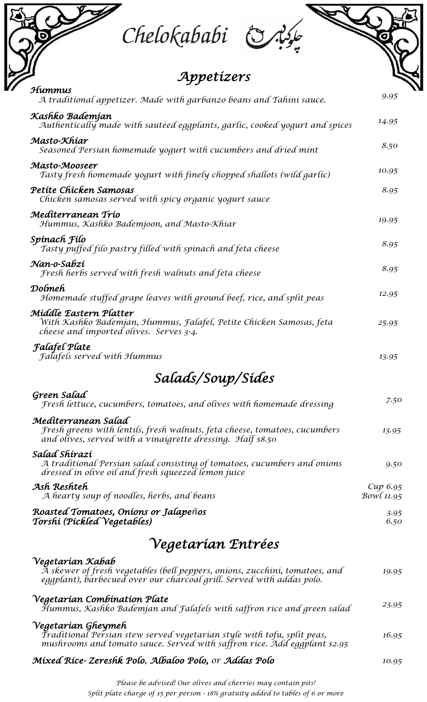Chelokababi & Ro

| Appetizers                                                                                                                                                               |                       |
|--------------------------------------------------------------------------------------------------------------------------------------------------------------------------|-----------------------|
| Hummus<br>A traditional appetizer. Made with garbanzo beans and Tahini sauce.                                                                                            | 9.95                  |
| Kashko Bademjan<br>Authentically made with sautéed eggplants, garlic, cooked yogurt and spices                                                                           | 14.95                 |
| Masto-Khíar<br>Seasoned Persian homemade yogurt with cucumbers and dried mint                                                                                            | 8.50                  |
| Masto-Mooseer<br>Tasty fresh homemade yogurt with finely chopped shallots (wild garlic)                                                                                  | 10.95                 |
| Petíte Chícken Samosas<br>Chicken samosas served with spicy organic yogurt sauce                                                                                         | 8.95                  |
| Medíterranean Trío<br>Hummus, Kashko Bademjoon, and Masto-Khiar                                                                                                          | 19.95                 |
| Spinach Filo<br>Tasty puffed filo pastry filled with spinach and feta cheese                                                                                             | 8.95                  |
| Nan-o-Sabzí<br>Fresh herbs served with fresh walnuts and feta cheese                                                                                                     | 8.95                  |
| Dolmeh<br>Homemade stuffed grape leaves with ground beef, rice, and split peas                                                                                           | 12.95                 |
| Middle Eastern Platter<br>With Kashko Bademjan, Hummus, Falafel, Petite Chicken Samosas, feta<br>cheese and imported olives. Serves 3-4.                                 | 25.95                 |
| <b>Falafel Plate</b><br><b>Falafels served with Hummus</b>                                                                                                               | 13.95                 |
| Salads/Soup/Sídes                                                                                                                                                        |                       |
| Green Salad<br>Fresh lettuce, cucumbers, tomatoes, and olives with homemade dressing                                                                                     | 7.50                  |
| Mediterranean Salad<br>Fresh greens with lentils, fresh walnuts, feta cheese, tomatoes, cucumbers<br>and olives, served with a vinaigrette dressing. Half \$8.50         | 13.95                 |
| Salad Shírazí<br>A traditional Persian salad consisting of tomatoes, cucumbers and onions<br>dressed in olive oil and fresh squeezed lemon juice                         | 9.50                  |
| Ash Reshteh<br>A hearty soup of noodles, herbs, and beans                                                                                                                | Cup 6.95<br>Bowl11.95 |
| Roasted Tomatoes, Onions or Jalapeños<br>Torshí (Píckled Vegetables)                                                                                                     | 3.95<br>6.50          |
| Vegetarían Entrées                                                                                                                                                       |                       |
| Vegetarían Kabab<br>A skewer of fresh vegetables (bell peppers, onions, zucchini, tomatoes, and<br>eggplant), barbecued over our charcoal grill. Served with addas polo. | 19.95                 |
| Vegetarían Combínatíon Plate<br>Hummus, Kashko Bademjan and Falafels with saffron rice and green salad                                                                   | 23.95                 |
| Vegetarían Gheymeh<br>Traditional Persian stew served vegetarian style with tofu, split peas,                                                                            | 16.95                 |

*Traditional Persian stew served vegetarian style with tofu, split peas, mushrooms and tomato sauce. Served with saffron rice. Add eggplant \$2.95*

## *Mixed Rice- Zereshk Polo, Albaloo Polo, or Addas Polo 10.95*

*Please be advised! Our olives and cherries may contain pits! Split plate charge of \$5 per person - 18% gratuity added to tables of 6 or more*